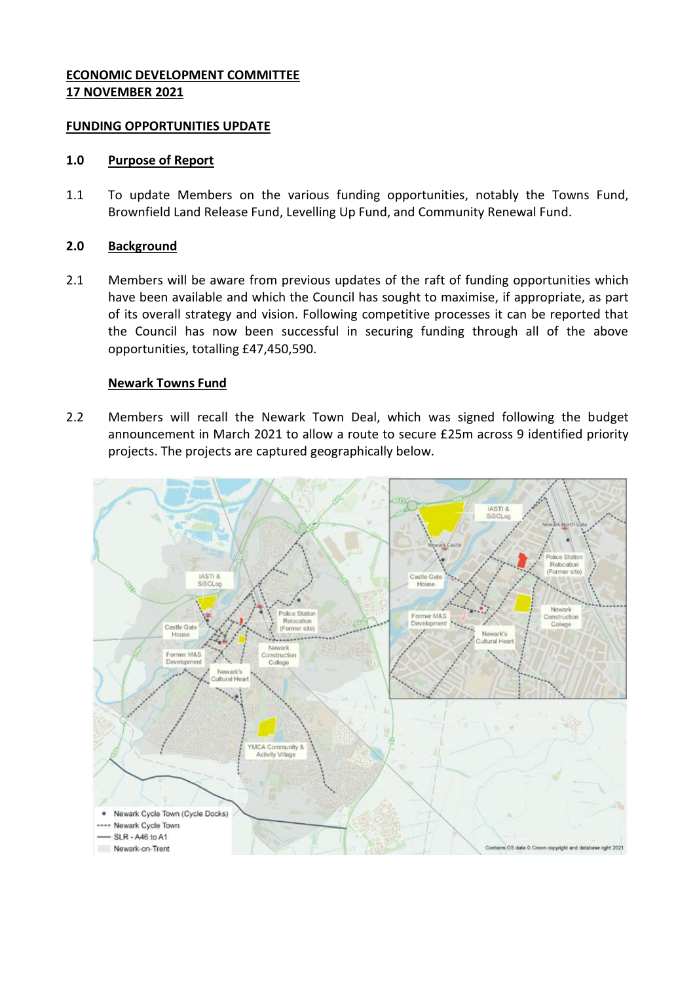# **ECONOMIC DEVELOPMENT COMMITTEE 17 NOVEMBER 2021**

## **FUNDING OPPORTUNITIES UPDATE**

## **1.0 Purpose of Report**

1.1 To update Members on the various funding opportunities, notably the Towns Fund, Brownfield Land Release Fund, Levelling Up Fund, and Community Renewal Fund.

## **2.0 Background**

2.1 Members will be aware from previous updates of the raft of funding opportunities which have been available and which the Council has sought to maximise, if appropriate, as part of its overall strategy and vision. Following competitive processes it can be reported that the Council has now been successful in securing funding through all of the above opportunities, totalling £47,450,590.

# **Newark Towns Fund**

2.2 Members will recall the Newark Town Deal, which was signed following the budget announcement in March 2021 to allow a route to secure £25m across 9 identified priority projects. The projects are captured geographically below.

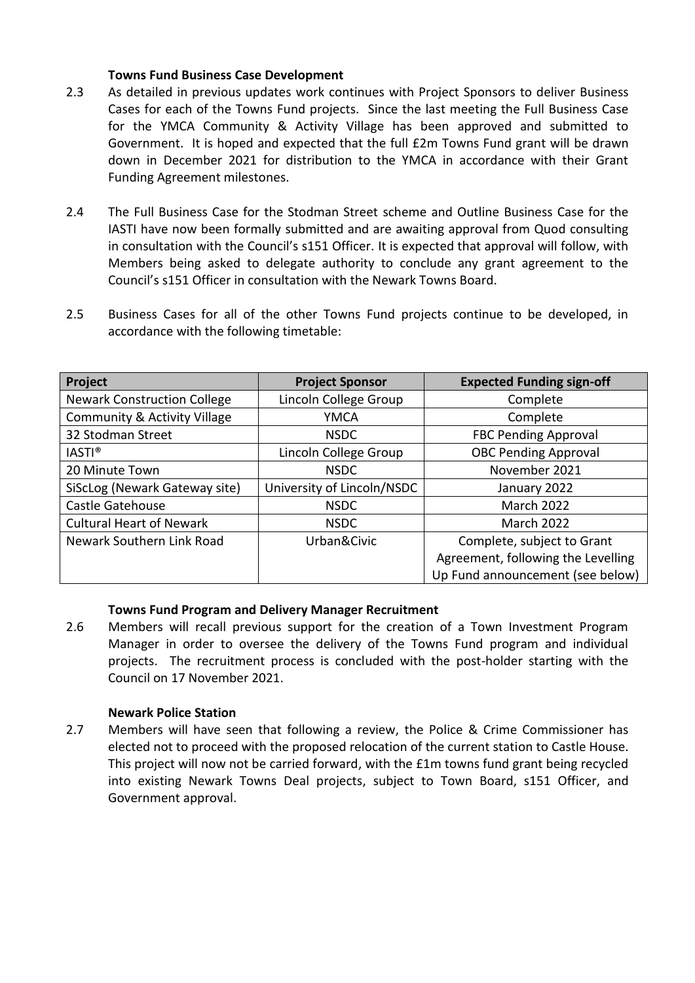## **Towns Fund Business Case Development**

- 2.3 As detailed in previous updates work continues with Project Sponsors to deliver Business Cases for each of the Towns Fund projects. Since the last meeting the Full Business Case for the YMCA Community & Activity Village has been approved and submitted to Government. It is hoped and expected that the full £2m Towns Fund grant will be drawn down in December 2021 for distribution to the YMCA in accordance with their Grant Funding Agreement milestones.
- 2.4 The Full Business Case for the Stodman Street scheme and Outline Business Case for the IASTI have now been formally submitted and are awaiting approval from Quod consulting in consultation with the Council's s151 Officer. It is expected that approval will follow, with Members being asked to delegate authority to conclude any grant agreement to the Council's s151 Officer in consultation with the Newark Towns Board.
- 2.5 Business Cases for all of the other Towns Fund projects continue to be developed, in accordance with the following timetable:

| Project                            | <b>Project Sponsor</b>     | <b>Expected Funding sign-off</b>   |  |
|------------------------------------|----------------------------|------------------------------------|--|
| <b>Newark Construction College</b> | Lincoln College Group      | Complete                           |  |
| Community & Activity Village       | <b>YMCA</b>                | Complete                           |  |
| 32 Stodman Street                  | <b>NSDC</b>                | <b>FBC Pending Approval</b>        |  |
| <b>IASTI®</b>                      | Lincoln College Group      | <b>OBC Pending Approval</b>        |  |
| 20 Minute Town                     | <b>NSDC</b>                | November 2021                      |  |
| SiScLog (Newark Gateway site)      | University of Lincoln/NSDC | January 2022                       |  |
| Castle Gatehouse                   | <b>NSDC</b>                | <b>March 2022</b>                  |  |
| <b>Cultural Heart of Newark</b>    | <b>NSDC</b>                | <b>March 2022</b>                  |  |
| Newark Southern Link Road          | Urban&Civic                | Complete, subject to Grant         |  |
|                                    |                            | Agreement, following the Levelling |  |
|                                    |                            | Up Fund announcement (see below)   |  |

## **Towns Fund Program and Delivery Manager Recruitment**

2.6 Members will recall previous support for the creation of a Town Investment Program Manager in order to oversee the delivery of the Towns Fund program and individual projects. The recruitment process is concluded with the post-holder starting with the Council on 17 November 2021.

## **Newark Police Station**

2.7 Members will have seen that following a review, the Police & Crime Commissioner has elected not to proceed with the proposed relocation of the current station to Castle House. This project will now not be carried forward, with the £1m towns fund grant being recycled into existing Newark Towns Deal projects, subject to Town Board, s151 Officer, and Government approval.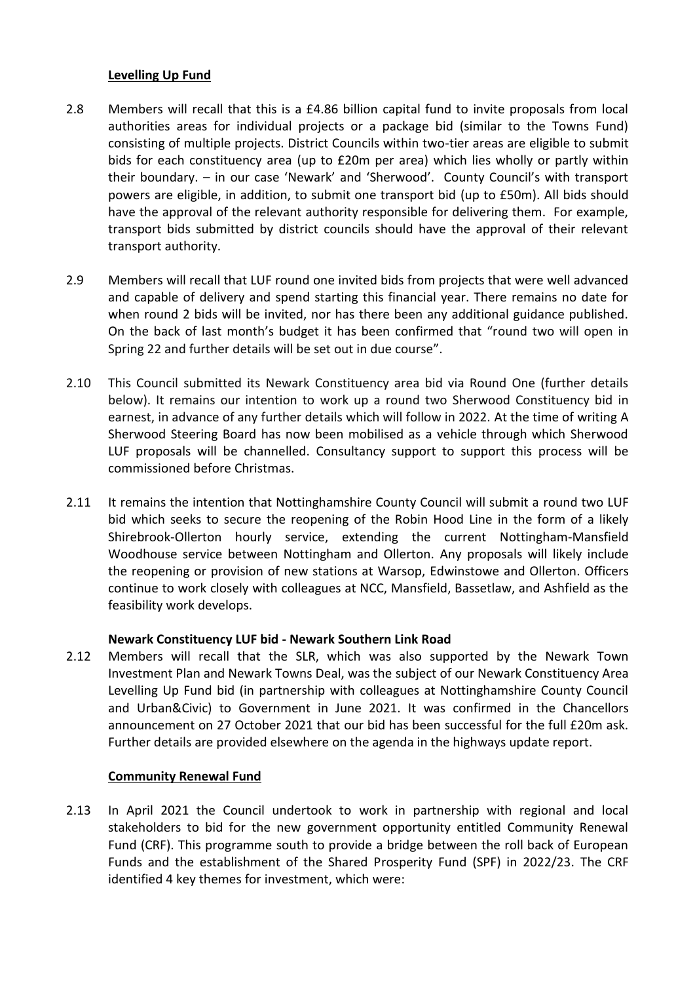## **Levelling Up Fund**

- 2.8 Members will recall that this is a £4.86 billion capital fund to invite proposals from local authorities areas for individual projects or a package bid (similar to the Towns Fund) consisting of multiple projects. District Councils within two-tier areas are eligible to submit bids for each constituency area (up to £20m per area) which lies wholly or partly within their boundary. – in our case 'Newark' and 'Sherwood'. County Council's with transport powers are eligible, in addition, to submit one transport bid (up to £50m). All bids should have the approval of the relevant authority responsible for delivering them. For example, transport bids submitted by district councils should have the approval of their relevant transport authority.
- 2.9 Members will recall that LUF round one invited bids from projects that were well advanced and capable of delivery and spend starting this financial year. There remains no date for when round 2 bids will be invited, nor has there been any additional guidance published. On the back of last month's budget it has been confirmed that "round two will open in Spring 22 and further details will be set out in due course".
- 2.10 This Council submitted its Newark Constituency area bid via Round One (further details below). It remains our intention to work up a round two Sherwood Constituency bid in earnest, in advance of any further details which will follow in 2022. At the time of writing A Sherwood Steering Board has now been mobilised as a vehicle through which Sherwood LUF proposals will be channelled. Consultancy support to support this process will be commissioned before Christmas.
- 2.11 It remains the intention that Nottinghamshire County Council will submit a round two LUF bid which seeks to secure the reopening of the Robin Hood Line in the form of a likely Shirebrook-Ollerton hourly service, extending the current Nottingham-Mansfield Woodhouse service between Nottingham and Ollerton. Any proposals will likely include the reopening or provision of new stations at Warsop, Edwinstowe and Ollerton. Officers continue to work closely with colleagues at NCC, Mansfield, Bassetlaw, and Ashfield as the feasibility work develops.

# **Newark Constituency LUF bid - Newark Southern Link Road**

2.12 Members will recall that the SLR, which was also supported by the Newark Town Investment Plan and Newark Towns Deal, was the subject of our Newark Constituency Area Levelling Up Fund bid (in partnership with colleagues at Nottinghamshire County Council and Urban&Civic) to Government in June 2021. It was confirmed in the Chancellors announcement on 27 October 2021 that our bid has been successful for the full £20m ask. Further details are provided elsewhere on the agenda in the highways update report.

# **Community Renewal Fund**

2.13 In April 2021 the Council undertook to work in partnership with regional and local stakeholders to bid for the new government opportunity entitled Community Renewal Fund (CRF). This programme south to provide a bridge between the roll back of European Funds and the establishment of the Shared Prosperity Fund (SPF) in 2022/23. The CRF identified 4 key themes for investment, which were: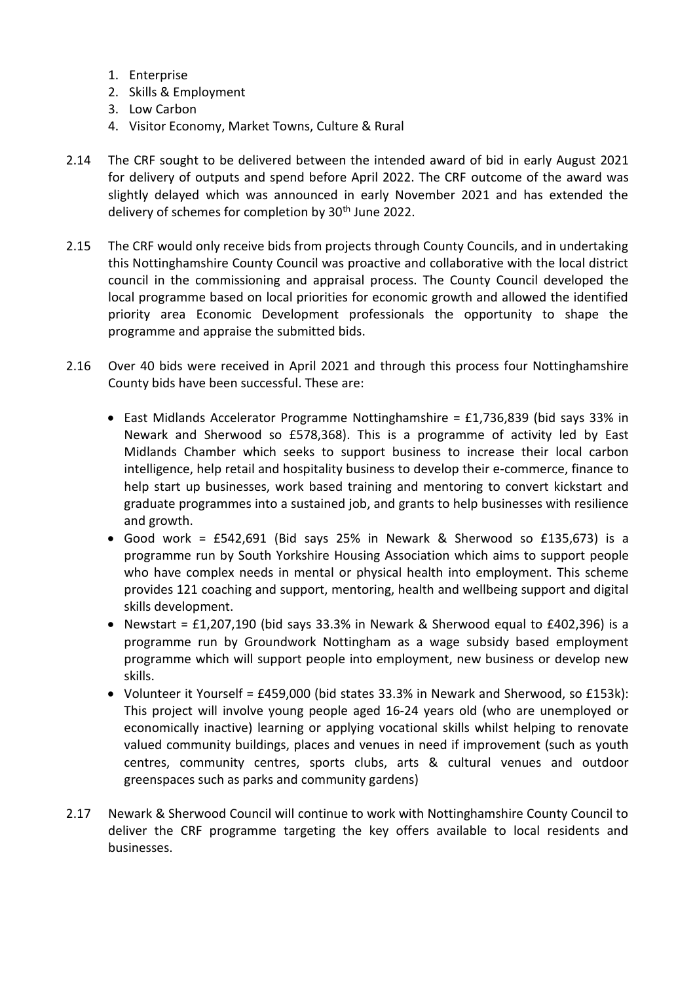- 1. Enterprise
- 2. Skills & Employment
- 3. Low Carbon
- 4. Visitor Economy, Market Towns, Culture & Rural
- 2.14 The CRF sought to be delivered between the intended award of bid in early August 2021 for delivery of outputs and spend before April 2022. The CRF outcome of the award was slightly delayed which was announced in early November 2021 and has extended the delivery of schemes for completion by 30<sup>th</sup> June 2022.
- 2.15 The CRF would only receive bids from projects through County Councils, and in undertaking this Nottinghamshire County Council was proactive and collaborative with the local district council in the commissioning and appraisal process. The County Council developed the local programme based on local priorities for economic growth and allowed the identified priority area Economic Development professionals the opportunity to shape the programme and appraise the submitted bids.
- 2.16 Over 40 bids were received in April 2021 and through this process four Nottinghamshire County bids have been successful. These are:
	- East Midlands Accelerator Programme Nottinghamshire = £1,736,839 (bid says 33% in Newark and Sherwood so £578,368). This is a programme of activity led by East Midlands Chamber which seeks to support business to increase their local carbon intelligence, help retail and hospitality business to develop their e-commerce, finance to help start up businesses, work based training and mentoring to convert kickstart and graduate programmes into a sustained job, and grants to help businesses with resilience and growth.
	- Good work = £542,691 (Bid says 25% in Newark & Sherwood so £135,673) is a programme run by South Yorkshire Housing Association which aims to support people who have complex needs in mental or physical health into employment. This scheme provides 121 coaching and support, mentoring, health and wellbeing support and digital skills development.
	- Newstart = £1,207,190 (bid says 33.3% in Newark & Sherwood equal to £402,396) is a programme run by Groundwork Nottingham as a wage subsidy based employment programme which will support people into employment, new business or develop new skills.
	- Volunteer it Yourself =  $£459,000$  (bid states 33.3% in Newark and Sherwood, so  $£153k$ ): This project will involve young people aged 16-24 years old (who are unemployed or economically inactive) learning or applying vocational skills whilst helping to renovate valued community buildings, places and venues in need if improvement (such as youth centres, community centres, sports clubs, arts & cultural venues and outdoor greenspaces such as parks and community gardens)
- 2.17 Newark & Sherwood Council will continue to work with Nottinghamshire County Council to deliver the CRF programme targeting the key offers available to local residents and businesses.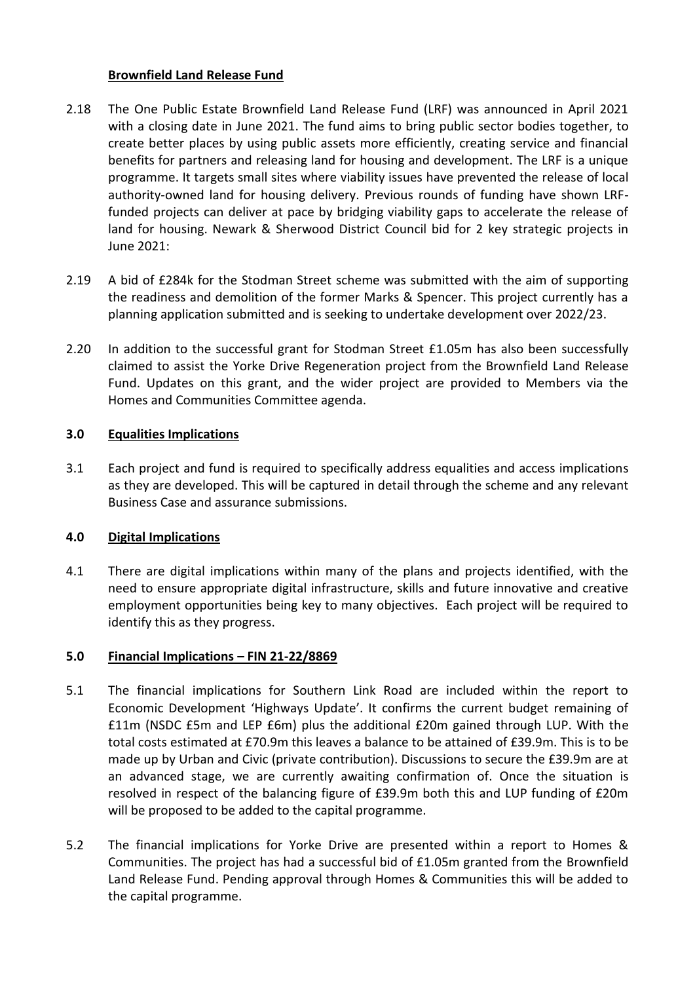# **Brownfield Land Release Fund**

- 2.18 The One Public Estate Brownfield Land Release Fund (LRF) was announced in April 2021 with a closing date in June 2021. The fund aims to bring public sector bodies together, to create better places by using public assets more efficiently, creating service and financial benefits for partners and releasing land for housing and development. The LRF is a unique programme. It targets small sites where viability issues have prevented the release of local authority-owned land for housing delivery. Previous rounds of funding have shown LRFfunded projects can deliver at pace by bridging viability gaps to accelerate the release of land for housing. Newark & Sherwood District Council bid for 2 key strategic projects in June 2021:
- 2.19 A bid of £284k for the Stodman Street scheme was submitted with the aim of supporting the readiness and demolition of the former Marks & Spencer. This project currently has a planning application submitted and is seeking to undertake development over 2022/23.
- 2.20 In addition to the successful grant for Stodman Street £1.05m has also been successfully claimed to assist the Yorke Drive Regeneration project from the Brownfield Land Release Fund. Updates on this grant, and the wider project are provided to Members via the Homes and Communities Committee agenda.

# **3.0 Equalities Implications**

3.1 Each project and fund is required to specifically address equalities and access implications as they are developed. This will be captured in detail through the scheme and any relevant Business Case and assurance submissions.

# **4.0 Digital Implications**

4.1 There are digital implications within many of the plans and projects identified, with the need to ensure appropriate digital infrastructure, skills and future innovative and creative employment opportunities being key to many objectives. Each project will be required to identify this as they progress.

## **5.0 Financial Implications – FIN 21-22/8869**

- 5.1 The financial implications for Southern Link Road are included within the report to Economic Development 'Highways Update'. It confirms the current budget remaining of £11m (NSDC £5m and LEP £6m) plus the additional £20m gained through LUP. With the total costs estimated at £70.9m this leaves a balance to be attained of £39.9m. This is to be made up by Urban and Civic (private contribution). Discussions to secure the £39.9m are at an advanced stage, we are currently awaiting confirmation of. Once the situation is resolved in respect of the balancing figure of £39.9m both this and LUP funding of £20m will be proposed to be added to the capital programme.
- 5.2 The financial implications for Yorke Drive are presented within a report to Homes & Communities. The project has had a successful bid of £1.05m granted from the Brownfield Land Release Fund. Pending approval through Homes & Communities this will be added to the capital programme.